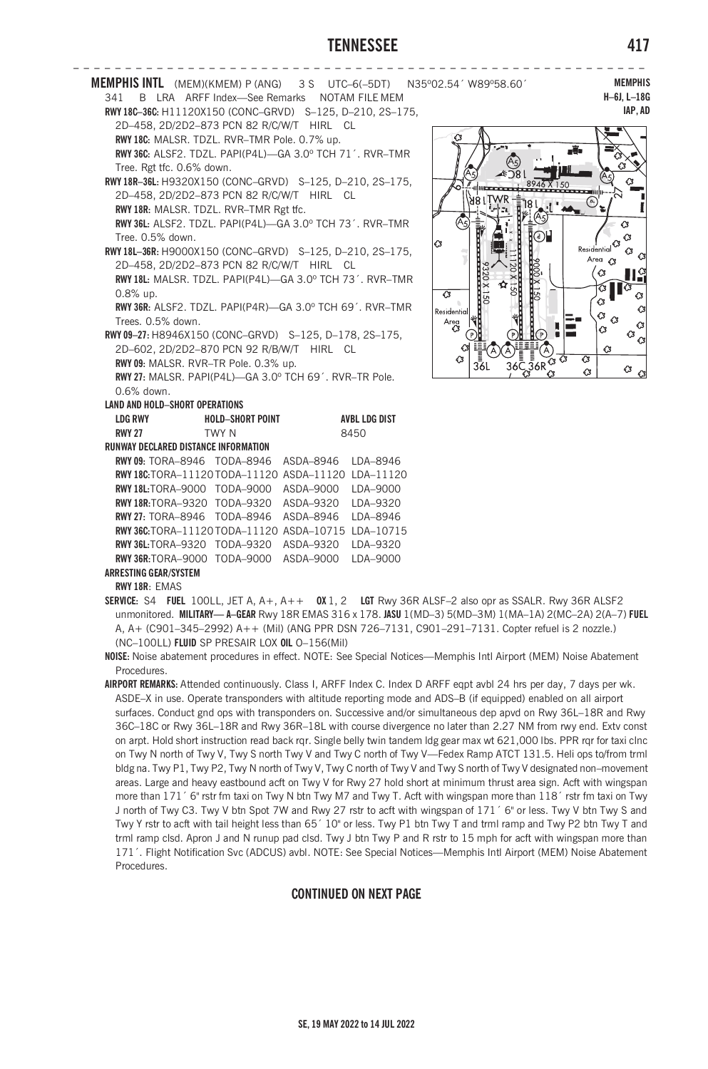## **TENNESSEE 417**

|                                                                                           | 341 B LRA ARFF Index-See Remarks NOTAM FILE MEM          |  |                      | MEMPHIS INTL (MEM)(KMEM) P (ANG) 3S UTC-6(-5DT) N35°02.54' W89°58.60'            | <b>MEMPH</b><br>$H-6J, L-18$                                                     |
|-------------------------------------------------------------------------------------------|----------------------------------------------------------|--|----------------------|----------------------------------------------------------------------------------|----------------------------------------------------------------------------------|
|                                                                                           | RWY18C-36C: H11120X150 (CONC-GRVD) S-125, D-210, 2S-175, |  |                      |                                                                                  | IAP, A                                                                           |
|                                                                                           | 2D-458, 2D/2D2-873 PCN 82 R/C/W/T HIRL CL                |  |                      |                                                                                  |                                                                                  |
|                                                                                           | RWY 18C: MALSR. TDZL. RVR-TMR Pole. 0.7% up.             |  |                      |                                                                                  |                                                                                  |
|                                                                                           | RWY 36C: ALSF2. TDZL. PAPI(P4L)-GA 3.0° TCH 71'. RVR-TMR |  |                      |                                                                                  | n Va                                                                             |
|                                                                                           | Tree. Rgt tfc. 0.6% down.                                |  |                      |                                                                                  | 43                                                                               |
|                                                                                           | RWY 18R-36L: H9320X150 (CONC-GRVD) S-125, D-210, 2S-175, |  |                      |                                                                                  | Q,                                                                               |
|                                                                                           | 2D-458, 2D/2D2-873 PCN 82 R/C/W/T HIRL CL                |  |                      |                                                                                  | ⊝                                                                                |
|                                                                                           | RWY 18R: MALSR. TDZL. RVR-TMR Rgt tfc.                   |  |                      |                                                                                  |                                                                                  |
|                                                                                           | RWY 36L: ALSF2. TDZL. PAPI(P4L)-GA 3.0° TCH 73'. RVR-TMR |  |                      |                                                                                  | $\circ$                                                                          |
| Tree. 0.5% down.                                                                          |                                                          |  |                      | ⊙⊔<br><b>C</b>                                                                   | <b>G</b><br>$\underset{\text{Residential}}{\overset{1}{\bigcirc}}\, \widehat{G}$ |
| RWY 18L-36R: H9000X150 (CONC-GRVD) S-125, D-210, 2S-175,                                  |                                                          |  |                      |                                                                                  | С3<br>$\mathcal{C}$<br>Area <3                                                   |
| 2D-458, 2D/2D2-873 PCN 82 R/C/W/T HIRL CL                                                 |                                                          |  |                      |                                                                                  | IIŝ<br>C3                                                                        |
| RWY 18L: MALSR. TDZL. PAPI(P4L)-GA 3.0° TCH 73'. RVR-TMR                                  |                                                          |  |                      |                                                                                  | Iа                                                                               |
| $0.8\%$ up.<br>$\overline{3}$<br>RWY 36R: ALSF2, TDZL, PAPI(P4R)-GA 3.0° TCH 69', RVR-TMR |                                                          |  |                      |                                                                                  | Ø<br>G.                                                                          |
| Trees. 0.5% down.                                                                         |                                                          |  |                      | Residential                                                                      | ¢<br>Q,<br>$\mathcal{C}$                                                         |
|                                                                                           | RWY 09-27: H8946X150 (CONC-GRVD) S-125, D-178, 2S-175,   |  |                      | Area<br>C3<br>$\mathbb{I}(P)$                                                    | Ó<br><b>G</b>                                                                    |
|                                                                                           | 2D-602, 2D/2D2-870 PCN 92 R/B/W/T HIRL CL                |  |                      | G.                                                                               | $^{\circ}$ $^{\circ}$<br>$\circ$<br>Α                                            |
|                                                                                           | RWY 09: MALSR. RVR-TR Pole. 0.3% up.                     |  |                      | 43<br>36L                                                                        | G3                                                                               |
|                                                                                           | RWY 27: MALSR. PAPI(P4L)-GA 3.0° TCH 69'. RVR-TR Pole.   |  |                      | $36\overline{\text{G}}\frac{1}{36\text{R}}\overline{\text{G}}\frac{1}{\text{G}}$ | $^{\circ}$ $^{\circ}$<br>C3                                                      |
| 0.6% down.                                                                                |                                                          |  |                      |                                                                                  |                                                                                  |
|                                                                                           | <b>LAND AND HOLD-SHORT OPERATIONS</b>                    |  |                      |                                                                                  |                                                                                  |
| <b>LDG RWY</b>                                                                            | <b>HOLD-SHORT POINT</b>                                  |  | <b>AVBL LDG DIST</b> |                                                                                  |                                                                                  |
| <b>RWY 27</b>                                                                             | TWY N                                                    |  | 8450                 |                                                                                  |                                                                                  |
|                                                                                           | <b>RUNWAY DECLARED DISTANCE INFORMATION</b>              |  |                      |                                                                                  |                                                                                  |
|                                                                                           | RWY 09: TORA-8946 TODA-8946 ASDA-8946 LDA-8946           |  |                      |                                                                                  |                                                                                  |
|                                                                                           | RWY18C:TORA-11120TODA-11120 ASDA-11120 LDA-11120         |  |                      |                                                                                  |                                                                                  |
|                                                                                           | RWY18L:TORA-9000 TODA-9000 ASDA-9000 LDA-9000            |  |                      |                                                                                  |                                                                                  |
|                                                                                           | RWY18R:TORA-9320 TODA-9320 ASDA-9320 LDA-9320            |  |                      |                                                                                  |                                                                                  |
|                                                                                           | RWY 27: TORA-8946 TODA-8946 ASDA-8946 LDA-8946           |  |                      |                                                                                  |                                                                                  |
|                                                                                           | RWY 36C: TORA-11120 TODA-11120 ASDA-10715 LDA-10715      |  |                      |                                                                                  |                                                                                  |
|                                                                                           | RWY36L:TORA-9320 TODA-9320 ASDA-9320 LDA-9320            |  |                      |                                                                                  |                                                                                  |
|                                                                                           | RWY36R:TORA-9000 TODA-9000 ASDA-9000 LDA-9000            |  |                      |                                                                                  |                                                                                  |
| ARRESTING GEAR/SYSTEM                                                                     |                                                          |  |                      |                                                                                  |                                                                                  |
| DMV 10D. EMAC                                                                             |                                                          |  |                      |                                                                                  |                                                                                  |

**MEMPHIS H–6J, L–18G IAP, AD**



**RWY 18R**: EMAS

**SERVICE:** S4 **FUEL** 100LL, JET A, A+, A++ **OX** 1, 2 **LGT** Rwy 36R ALSF–2 also opr as SSALR. Rwy 36R ALSF2 unmonitored. **MILITARY— A–GEAR** Rwy 18R EMAS 316 x 178. **JASU** 1(MD–3) 5(MD–3M) 1(MA–1A) 2(MC–2A) 2(A–7) **FUEL** A, A+ (C901–345–2992) A++ (Mil) (ANG PPR DSN 726–7131, C901–291–7131. Copter refuel is 2 nozzle.) (NC–100LL) **FLUID** SP PRESAIR LOX **OIL** O–156(Mil)

**NOISE:** Noise abatement procedures in effect. NOTE: See Special Notices—Memphis Intl Airport (MEM) Noise Abatement Procedures.

**AIRPORT REMARKS:** Attended continuously. Class I, ARFF Index C. Index D ARFF eqpt avbl 24 hrs per day, 7 days per wk. ASDE–X in use. Operate transponders with altitude reporting mode and ADS–B (if equipped) enabled on all airport surfaces. Conduct gnd ops with transponders on. Successive and/or simultaneous dep apvd on Rwy 36L–18R and Rwy 36C–18C or Rwy 36L–18R and Rwy 36R–18L with course divergence no later than 2.27 NM from rwy end. Extv const on arpt. Hold short instruction read back rqr. Single belly twin tandem ldg gear max wt 621,000 lbs. PPR rqr for taxi clnc on Twy N north of Twy V, Twy S north Twy V and Twy C north of Twy V—Fedex Ramp ATCT 131.5. Heli ops to/from trml bldg na. Twy P1, Twy P2, Twy N north of Twy V, Twy C north of Twy V and Twy S north of Twy V designated non–movement areas. Large and heavy eastbound acft on Twy V for Rwy 27 hold short at minimum thrust area sign. Acft with wingspan more than 171<sup>′</sup> 6" rstr fm taxi on Twy N btn Twy M7 and Twy T. Acft with wingspan more than 118<sup>′</sup> rstr fm taxi on Twy J north of Twy C3. Twy V btn Spot 7W and Rwy 27 rstr to acft with wingspan of 171´ 6" or less. Twy V btn Twy S and Twy Y rstr to acft with tail height less than 65´ 10" or less. Twy P1 btn Twy T and trml ramp and Twy P2 btn Twy T and trml ramp clsd. Apron J and N runup pad clsd. Twy J btn Twy P and R rstr to 15 mph for acft with wingspan more than 171´. Flight Notification Svc (ADCUS) avbl. NOTE: See Special Notices—Memphis Intl Airport (MEM) Noise Abatement Procedures.

## **CONTINUED ON NEXT PAGE**